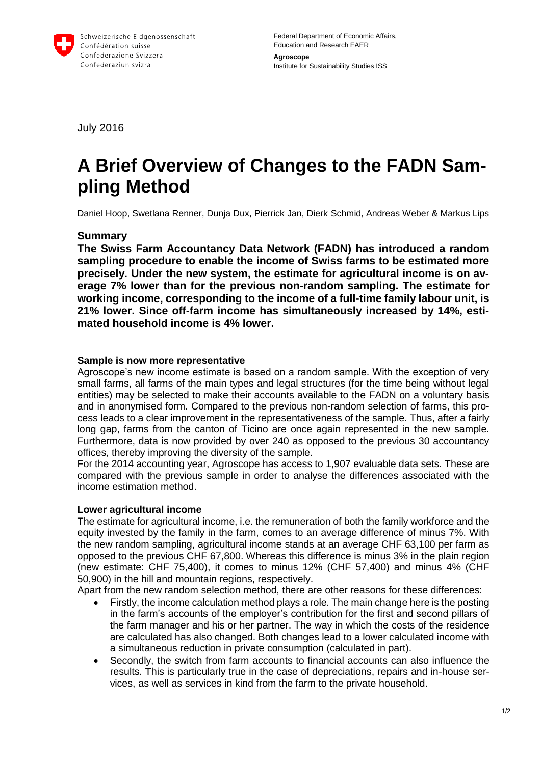

Federal Department of Economic Affairs, Education and Research EAER **Agroscope** Institute for Sustainability Studies ISS

July 2016

# **A Brief Overview of Changes to the FADN Sampling Method**

Daniel Hoop, Swetlana Renner, Dunja Dux, Pierrick Jan, Dierk Schmid, Andreas Weber & Markus Lips

## **Summary**

**The Swiss Farm Accountancy Data Network (FADN) has introduced a random sampling procedure to enable the income of Swiss farms to be estimated more precisely. Under the new system, the estimate for agricultural income is on average 7% lower than for the previous non-random sampling. The estimate for working income, corresponding to the income of a full-time family labour unit, is 21% lower. Since off-farm income has simultaneously increased by 14%, estimated household income is 4% lower.** 

#### **Sample is now more representative**

Agroscope's new income estimate is based on a random sample. With the exception of very small farms, all farms of the main types and legal structures (for the time being without legal entities) may be selected to make their accounts available to the FADN on a voluntary basis and in anonymised form. Compared to the previous non-random selection of farms, this process leads to a clear improvement in the representativeness of the sample. Thus, after a fairly long gap, farms from the canton of Ticino are once again represented in the new sample. Furthermore, data is now provided by over 240 as opposed to the previous 30 accountancy offices, thereby improving the diversity of the sample.

For the 2014 accounting year, Agroscope has access to 1,907 evaluable data sets. These are compared with the previous sample in order to analyse the differences associated with the income estimation method.

#### **Lower agricultural income**

The estimate for agricultural income, i.e. the remuneration of both the family workforce and the equity invested by the family in the farm, comes to an average difference of minus 7%. With the new random sampling, agricultural income stands at an average CHF 63,100 per farm as opposed to the previous CHF 67,800. Whereas this difference is minus 3% in the plain region (new estimate: CHF 75,400), it comes to minus 12% (CHF 57,400) and minus 4% (CHF 50,900) in the hill and mountain regions, respectively.

Apart from the new random selection method, there are other reasons for these differences:

- Firstly, the income calculation method plays a role. The main change here is the posting in the farm's accounts of the employer's contribution for the first and second pillars of the farm manager and his or her partner. The way in which the costs of the residence are calculated has also changed. Both changes lead to a lower calculated income with a simultaneous reduction in private consumption (calculated in part).
- Secondly, the switch from farm accounts to financial accounts can also influence the results. This is particularly true in the case of depreciations, repairs and in-house services, as well as services in kind from the farm to the private household.